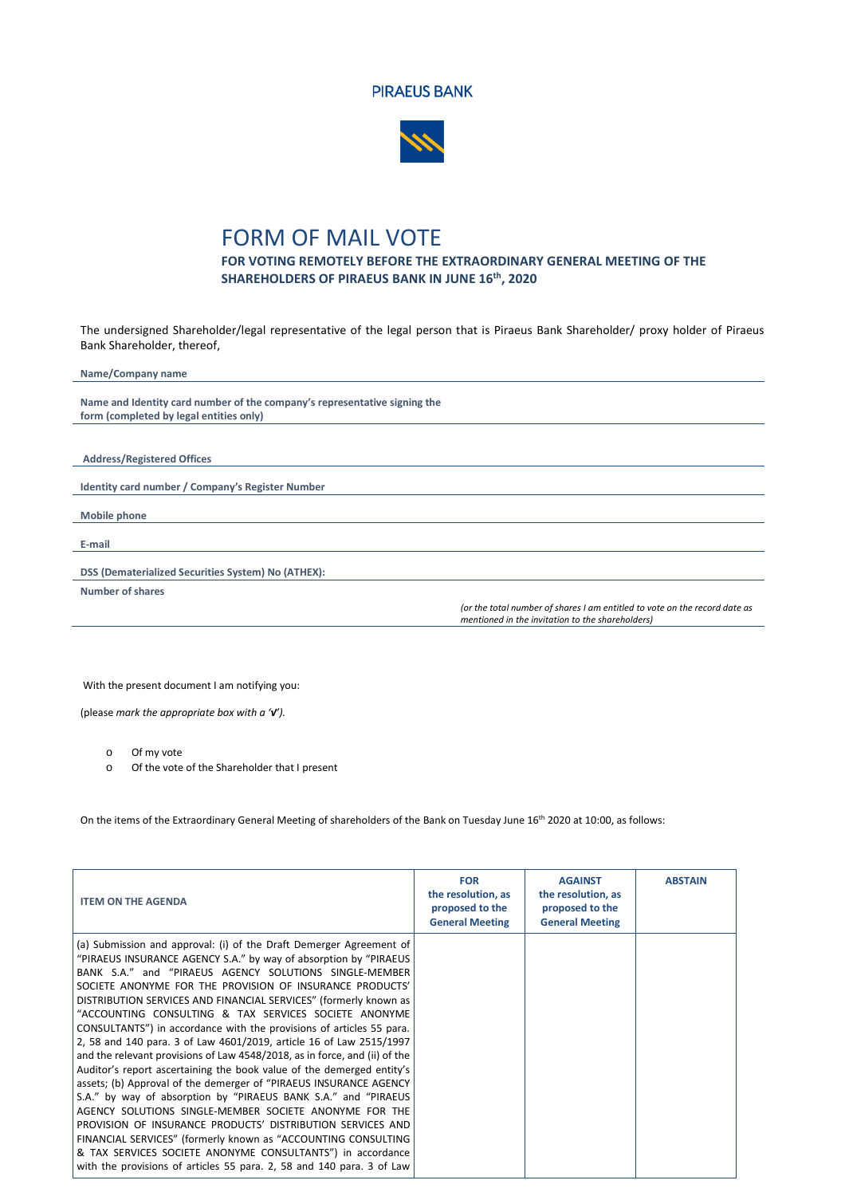



## FORM OF MAIL VOTE

## **FOR VOTING REMOTELY BEFORE THE EXTRAORDINARY GENERAL MEETING OF THE SHAREHOLDERS OF PIRAEUS BANK IN JUNE 16th, 2020**

The undersigned Shareholder/legal representative of the legal person that is Piraeus Bank Shareholder/ proxy holder of Piraeus Bank Shareholder, thereof,

**Name/Company name Name and Identity card number of the company's representative signing the form (completed by legal entities only) Address/Registered Offices Identity card number / Company's Register Number Mobile phone E-mail DSS (Dematerialized Securities System) No (ΑΤΗΕΧ): Number of shares** *(or the total number of shares I am entitled to vote on the record date as mentioned in the invitation to the shareholders)*

With the present document I am notifying you:

(please *mark the appropriate box with a '√').* 

o Of my vote

Of the vote of the Shareholder that I present

On the items of the Extraordinary General Meeting of shareholders of the Bank on Tuesday June 16th 2020 at 10:00, as follows:

| <b>ITEM ON THE AGENDA</b>                                                                                                                                                                                                                                                                                                                                                                                                                                                                                                                                                                                                                                                                                                                                                                                                                                                                                                                                                                                                                                                                                                                                               | <b>FOR</b><br>the resolution, as<br>proposed to the<br><b>General Meeting</b> | <b>AGAINST</b><br>the resolution, as<br>proposed to the<br><b>General Meeting</b> | <b>ABSTAIN</b> |
|-------------------------------------------------------------------------------------------------------------------------------------------------------------------------------------------------------------------------------------------------------------------------------------------------------------------------------------------------------------------------------------------------------------------------------------------------------------------------------------------------------------------------------------------------------------------------------------------------------------------------------------------------------------------------------------------------------------------------------------------------------------------------------------------------------------------------------------------------------------------------------------------------------------------------------------------------------------------------------------------------------------------------------------------------------------------------------------------------------------------------------------------------------------------------|-------------------------------------------------------------------------------|-----------------------------------------------------------------------------------|----------------|
| (a) Submission and approval: (i) of the Draft Demerger Agreement of<br>"PIRAEUS INSURANCE AGENCY S.A." by way of absorption by "PIRAEUS<br>BANK S.A." and "PIRAEUS AGENCY SOLUTIONS SINGLE-MEMBER<br>SOCIETE ANONYME FOR THE PROVISION OF INSURANCE PRODUCTS'<br>DISTRIBUTION SERVICES AND FINANCIAL SERVICES" (formerly known as<br>"ACCOUNTING CONSULTING & TAX SERVICES SOCIETE ANONYME<br>CONSULTANTS") in accordance with the provisions of articles 55 para.<br>2, 58 and 140 para. 3 of Law 4601/2019, article 16 of Law 2515/1997<br>and the relevant provisions of Law 4548/2018, as in force, and (ii) of the<br>Auditor's report ascertaining the book value of the demerged entity's<br>assets; (b) Approval of the demerger of "PIRAEUS INSURANCE AGENCY<br>S.A." by way of absorption by "PIRAEUS BANK S.A." and "PIRAEUS<br>AGENCY SOLUTIONS SINGLE-MEMBER SOCIETE ANONYME FOR THE<br>PROVISION OF INSURANCE PRODUCTS' DISTRIBUTION SERVICES AND<br>FINANCIAL SERVICES" (formerly known as "ACCOUNTING CONSULTING<br>& TAX SERVICES SOCIETE ANONYME CONSULTANTS") in accordance<br>with the provisions of articles 55 para. 2, 58 and 140 para. 3 of Law |                                                                               |                                                                                   |                |